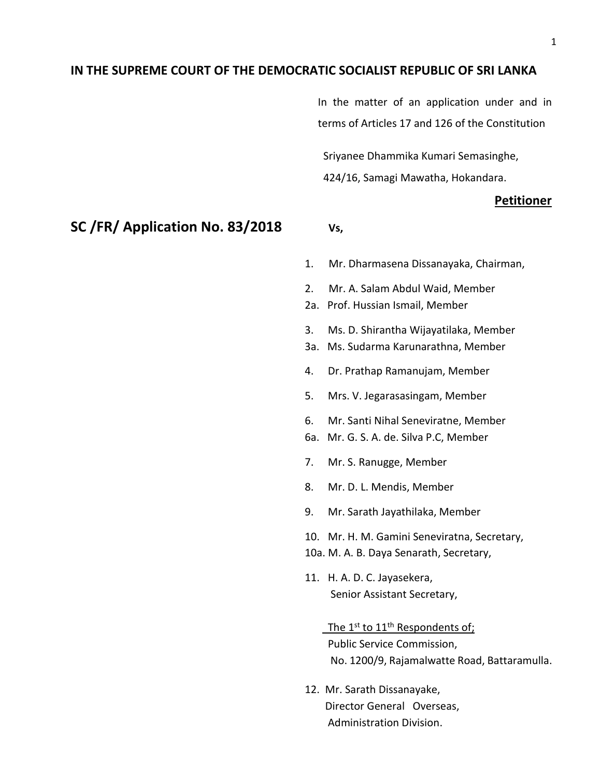## **IN THE SUPREME COURT OF THE DEMOCRATIC SOCIALIST REPUBLIC OF SRI LANKA**

In the matter of an application under and in terms of Articles 17 and 126 of the Constitution

 Sriyanee Dhammika Kumari Semasinghe, 424/16, Samagi Mawatha, Hokandara.

#### **Petitioner**

## **SC /FR/ Application No. 83/2018 Vs,**

- 1. Mr. Dharmasena Dissanayaka, Chairman,
- 2. Mr. A. Salam Abdul Waid, Member
- 2a. Prof. Hussian Ismail, Member
- 3. Ms. D. Shirantha Wijayatilaka, Member
- 3a. Ms. Sudarma Karunarathna, Member
- 4. Dr. Prathap Ramanujam, Member
- 5. Mrs. V. Jegarasasingam, Member
- 6. Mr. Santi Nihal Seneviratne, Member
- 6a. Mr. G. S. A. de. Silva P.C, Member
- 7. Mr. S. Ranugge, Member
- 8. Mr. D. L. Mendis, Member
- 9. Mr. Sarath Jayathilaka, Member
- 10. Mr. H. M. Gamini Seneviratna, Secretary,
- 10a. M. A. B. Daya Senarath, Secretary,
- 11. H. A. D. C. Jayasekera, Senior Assistant Secretary,

The  $1^{st}$  to  $11^{th}$  Respondents of; Public Service Commission, No. 1200/9, Rajamalwatte Road, Battaramulla.

12. Mr. Sarath Dissanayake, Director General Overseas, Administration Division.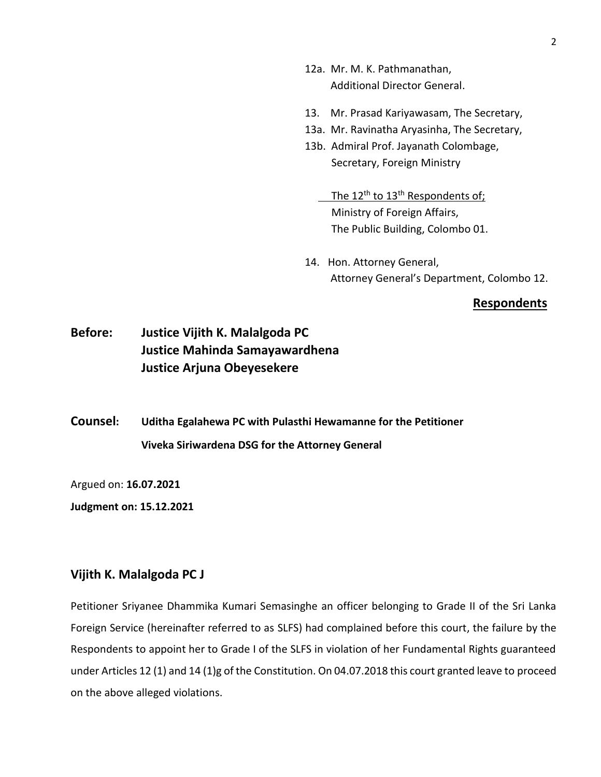- 12a. Mr. M. K. Pathmanathan, Additional Director General.
- 13. Mr. Prasad Kariyawasam, The Secretary,
- 13a. Mr. Ravinatha Aryasinha, The Secretary,
- 13b. Admiral Prof. Jayanath Colombage, Secretary, Foreign Ministry
	- The 12<sup>th</sup> to 13<sup>th</sup> Respondents of; Ministry of Foreign Affairs, The Public Building, Colombo 01.
- 14. Hon. Attorney General, Attorney General's Department, Colombo 12.

#### **Respondents**

# **Before: Justice Vijith K. Malalgoda PC Justice Mahinda Samayawardhena Justice Arjuna Obeyesekere**

**Counsel: Uditha Egalahewa PC with Pulasthi Hewamanne for the Petitioner Viveka Siriwardena DSG for the Attorney General**

Argued on: **16.07.2021**

**Judgment on: 15.12.2021**

### **Vijith K. Malalgoda PC J**

Petitioner Sriyanee Dhammika Kumari Semasinghe an officer belonging to Grade II of the Sri Lanka Foreign Service (hereinafter referred to as SLFS) had complained before this court, the failure by the Respondents to appoint her to Grade I of the SLFS in violation of her Fundamental Rights guaranteed under Articles 12 (1) and 14 (1)g of the Constitution. On 04.07.2018 this court granted leave to proceed on the above alleged violations.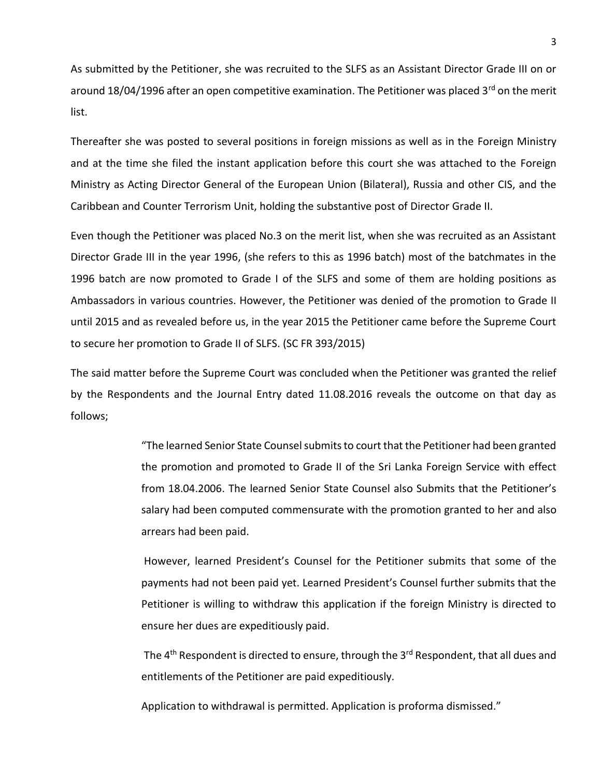As submitted by the Petitioner, she was recruited to the SLFS as an Assistant Director Grade III on or around 18/04/1996 after an open competitive examination. The Petitioner was placed 3<sup>rd</sup> on the merit list.

Thereafter she was posted to several positions in foreign missions as well as in the Foreign Ministry and at the time she filed the instant application before this court she was attached to the Foreign Ministry as Acting Director General of the European Union (Bilateral), Russia and other CIS, and the Caribbean and Counter Terrorism Unit, holding the substantive post of Director Grade II.

Even though the Petitioner was placed No.3 on the merit list, when she was recruited as an Assistant Director Grade III in the year 1996, (she refers to this as 1996 batch) most of the batchmates in the 1996 batch are now promoted to Grade I of the SLFS and some of them are holding positions as Ambassadors in various countries. However, the Petitioner was denied of the promotion to Grade II until 2015 and as revealed before us, in the year 2015 the Petitioner came before the Supreme Court to secure her promotion to Grade II of SLFS. (SC FR 393/2015)

The said matter before the Supreme Court was concluded when the Petitioner was granted the relief by the Respondents and the Journal Entry dated 11.08.2016 reveals the outcome on that day as follows;

> "The learned Senior State Counsel submits to court that the Petitioner had been granted the promotion and promoted to Grade II of the Sri Lanka Foreign Service with effect from 18.04.2006. The learned Senior State Counsel also Submits that the Petitioner's salary had been computed commensurate with the promotion granted to her and also arrears had been paid.

> However, learned President's Counsel for the Petitioner submits that some of the payments had not been paid yet. Learned President's Counsel further submits that the Petitioner is willing to withdraw this application if the foreign Ministry is directed to ensure her dues are expeditiously paid.

> The 4<sup>th</sup> Respondent is directed to ensure, through the 3<sup>rd</sup> Respondent, that all dues and entitlements of the Petitioner are paid expeditiously.

Application to withdrawal is permitted. Application is proforma dismissed."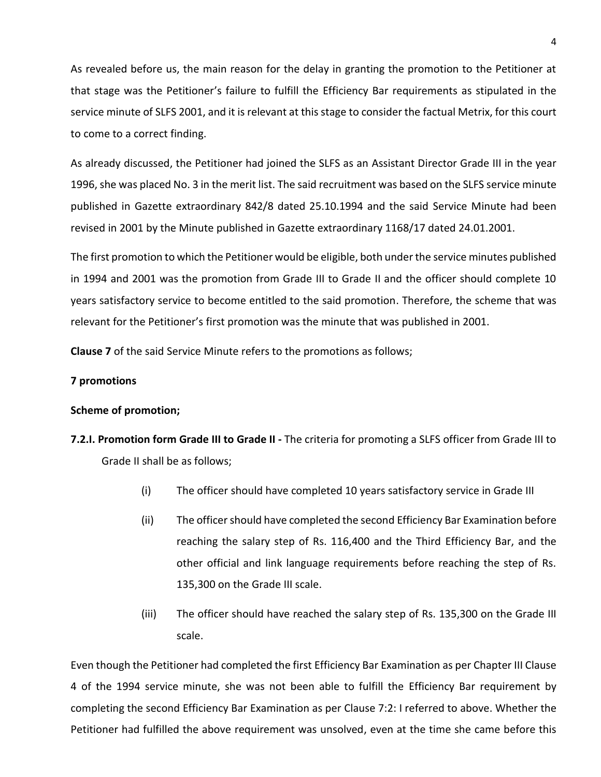As revealed before us, the main reason for the delay in granting the promotion to the Petitioner at that stage was the Petitioner's failure to fulfill the Efficiency Bar requirements as stipulated in the service minute of SLFS 2001, and it is relevant at this stage to consider the factual Metrix, for this court to come to a correct finding.

As already discussed, the Petitioner had joined the SLFS as an Assistant Director Grade III in the year 1996, she was placed No. 3 in the merit list. The said recruitment was based on the SLFS service minute published in Gazette extraordinary 842/8 dated 25.10.1994 and the said Service Minute had been revised in 2001 by the Minute published in Gazette extraordinary 1168/17 dated 24.01.2001.

The first promotion to which the Petitioner would be eligible, both under the service minutes published in 1994 and 2001 was the promotion from Grade III to Grade II and the officer should complete 10 years satisfactory service to become entitled to the said promotion. Therefore, the scheme that was relevant for the Petitioner's first promotion was the minute that was published in 2001.

**Clause 7** of the said Service Minute refers to the promotions as follows;

#### **7 promotions**

#### **Scheme of promotion;**

- **7.2.I. Promotion form Grade III to Grade II -** The criteria for promoting a SLFS officer from Grade III to Grade II shall be as follows;
	- (i) The officer should have completed 10 years satisfactory service in Grade III
	- (ii) The officer should have completed the second Efficiency Bar Examination before reaching the salary step of Rs. 116,400 and the Third Efficiency Bar, and the other official and link language requirements before reaching the step of Rs. 135,300 on the Grade III scale.
	- (iii) The officer should have reached the salary step of Rs. 135,300 on the Grade III scale.

Even though the Petitioner had completed the first Efficiency Bar Examination as per Chapter III Clause 4 of the 1994 service minute, she was not been able to fulfill the Efficiency Bar requirement by completing the second Efficiency Bar Examination as per Clause 7:2: I referred to above. Whether the Petitioner had fulfilled the above requirement was unsolved, even at the time she came before this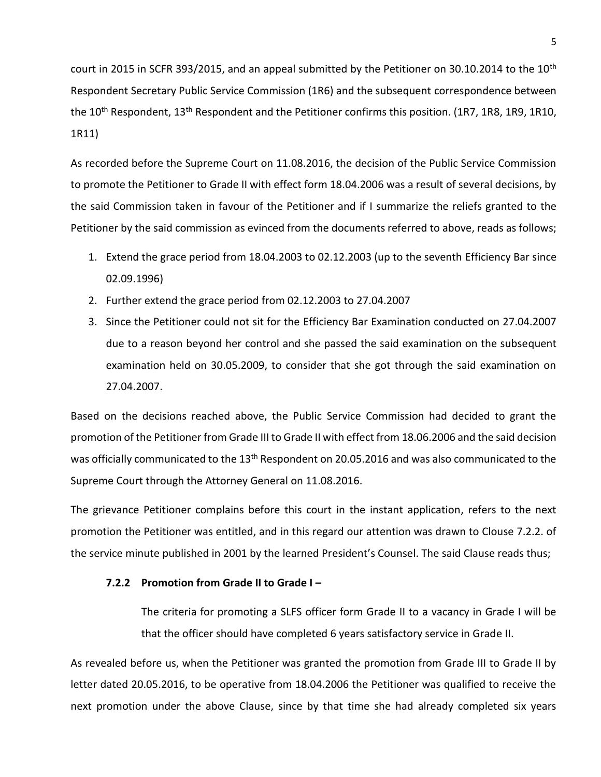court in 2015 in SCFR 393/2015, and an appeal submitted by the Petitioner on 30.10.2014 to the  $10^{th}$ Respondent Secretary Public Service Commission (1R6) and the subsequent correspondence between the 10<sup>th</sup> Respondent, 13<sup>th</sup> Respondent and the Petitioner confirms this position. (1R7, 1R8, 1R9, 1R10, 1R11)

As recorded before the Supreme Court on 11.08.2016, the decision of the Public Service Commission to promote the Petitioner to Grade II with effect form 18.04.2006 was a result of several decisions, by the said Commission taken in favour of the Petitioner and if I summarize the reliefs granted to the Petitioner by the said commission as evinced from the documents referred to above, reads as follows;

- 1. Extend the grace period from 18.04.2003 to 02.12.2003 (up to the seventh Efficiency Bar since 02.09.1996)
- 2. Further extend the grace period from 02.12.2003 to 27.04.2007
- 3. Since the Petitioner could not sit for the Efficiency Bar Examination conducted on 27.04.2007 due to a reason beyond her control and she passed the said examination on the subsequent examination held on 30.05.2009, to consider that she got through the said examination on 27.04.2007.

Based on the decisions reached above, the Public Service Commission had decided to grant the promotion of the Petitioner from Grade III to Grade II with effect from 18.06.2006 and the said decision was officially communicated to the 13<sup>th</sup> Respondent on 20.05.2016 and was also communicated to the Supreme Court through the Attorney General on 11.08.2016.

The grievance Petitioner complains before this court in the instant application, refers to the next promotion the Petitioner was entitled, and in this regard our attention was drawn to Clouse 7.2.2. of the service minute published in 2001 by the learned President's Counsel. The said Clause reads thus;

#### **7.2.2 Promotion from Grade II to Grade I –**

The criteria for promoting a SLFS officer form Grade II to a vacancy in Grade I will be that the officer should have completed 6 years satisfactory service in Grade II.

As revealed before us, when the Petitioner was granted the promotion from Grade III to Grade II by letter dated 20.05.2016, to be operative from 18.04.2006 the Petitioner was qualified to receive the next promotion under the above Clause, since by that time she had already completed six years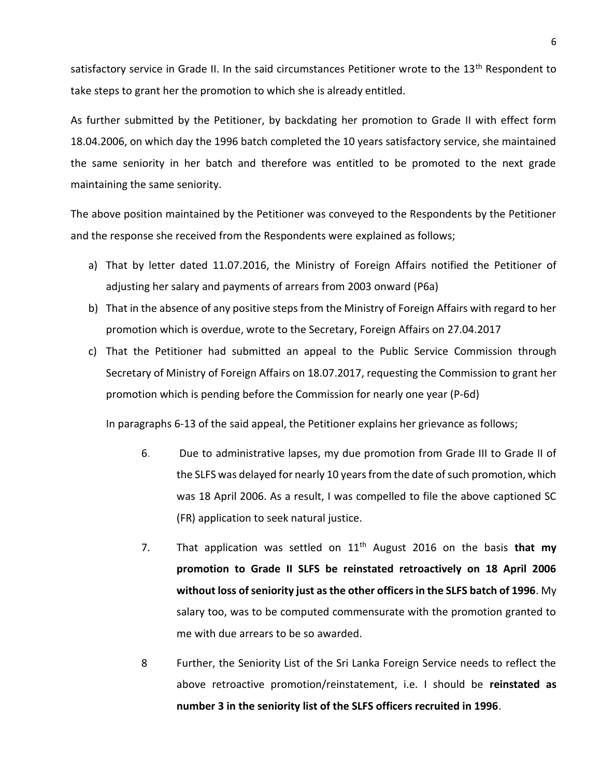satisfactory service in Grade II. In the said circumstances Petitioner wrote to the 13<sup>th</sup> Respondent to take steps to grant her the promotion to which she is already entitled.

As further submitted by the Petitioner, by backdating her promotion to Grade II with effect form 18.04.2006, on which day the 1996 batch completed the 10 years satisfactory service, she maintained the same seniority in her batch and therefore was entitled to be promoted to the next grade maintaining the same seniority.

The above position maintained by the Petitioner was conveyed to the Respondents by the Petitioner and the response she received from the Respondents were explained as follows;

- a) That by letter dated 11.07.2016, the Ministry of Foreign Affairs notified the Petitioner of adjusting her salary and payments of arrears from 2003 onward (P6a)
- b) That in the absence of any positive steps from the Ministry of Foreign Affairs with regard to her promotion which is overdue, wrote to the Secretary, Foreign Affairs on 27.04.2017
- c) That the Petitioner had submitted an appeal to the Public Service Commission through Secretary of Ministry of Foreign Affairs on 18.07.2017, requesting the Commission to grant her promotion which is pending before the Commission for nearly one year (P-6d)

In paragraphs 6-13 of the said appeal, the Petitioner explains her grievance as follows;

- 6. Due to administrative lapses, my due promotion from Grade III to Grade II of the SLFS was delayed for nearly 10 years from the date of such promotion, which was 18 April 2006. As a result, I was compelled to file the above captioned SC (FR) application to seek natural justice.
- 7. That application was settled on 11th August 2016 on the basis **that my promotion to Grade II SLFS be reinstated retroactively on 18 April 2006 without loss of seniority just as the other officers in the SLFS batch of 1996**. My salary too, was to be computed commensurate with the promotion granted to me with due arrears to be so awarded.
- 8 Further, the Seniority List of the Sri Lanka Foreign Service needs to reflect the above retroactive promotion/reinstatement, i.e. I should be **reinstated as number 3 in the seniority list of the SLFS officers recruited in 1996**.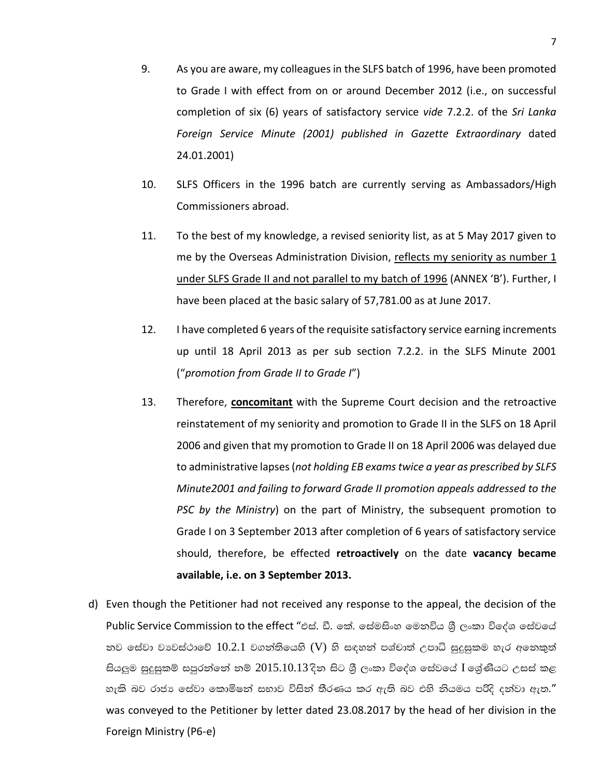- 9. As you are aware, my colleagues in the SLFS batch of 1996, have been promoted to Grade I with effect from on or around December 2012 (i.e., on successful completion of six (6) years of satisfactory service *vide* 7.2.2. of the *Sri Lanka Foreign Service Minute (2001) published in Gazette Extraordinary* dated 24.01.2001)
- 10. SLFS Officers in the 1996 batch are currently serving as Ambassadors/High Commissioners abroad.
- 11. To the best of my knowledge, a revised seniority list, as at 5 May 2017 given to me by the Overseas Administration Division, reflects my seniority as number  $1$ under SLFS Grade II and not parallel to my batch of 1996 (ANNEX 'B'). Further, I have been placed at the basic salary of 57,781.00 as at June 2017.
- 12. I have completed 6 years of the requisite satisfactory service earning increments up until 18 April 2013 as per sub section 7.2.2. in the SLFS Minute 2001 ("*promotion from Grade II to Grade I*")
- 13. Therefore, **concomitant** with the Supreme Court decision and the retroactive reinstatement of my seniority and promotion to Grade II in the SLFS on 18 April 2006 and given that my promotion to Grade II on 18 April 2006 was delayed due to administrative lapses (*not holding EB exams twice a year as prescribed by SLFS Minute2001 and failing to forward Grade II promotion appeals addressed to the PSC by the Ministry*) on the part of Ministry, the subsequent promotion to Grade I on 3 September 2013 after completion of 6 years of satisfactory service should, therefore, be effected **retroactively** on the date **vacancy became available, i.e. on 3 September 2013.**
- d) Even though the Petitioner had not received any response to the appeal, the decision of the Public Service Commission to the effect "එස්. ඩී. කේ. සේමසිංහ මෙනවිය ශීූ ලංකා විදේශ සේවයේ නව සේවා වාවස්ථාවේ  $10.2.1$  වගන්තියෙහි (V) හි සඳහන් පශ්චාත් උපාධි සුදුසුකම හැර අනෙකුත් සියලුම සුදුසුකම් සපුරන්නේ නම්  $2015.10.13$  දින සිට ශීූ ලංකා විදේශ සේවයේ  ${\rm I}$  ලශ්ණීයට උසස් කළ හැකි බව රාජා සේවා කොමිෂන් සභාව විසින් තීරණය කර ඇති බව එහි නියමය පරිදි දන්වා ඇත." was conveyed to the Petitioner by letter dated 23.08.2017 by the head of her division in the Foreign Ministry (P6-e)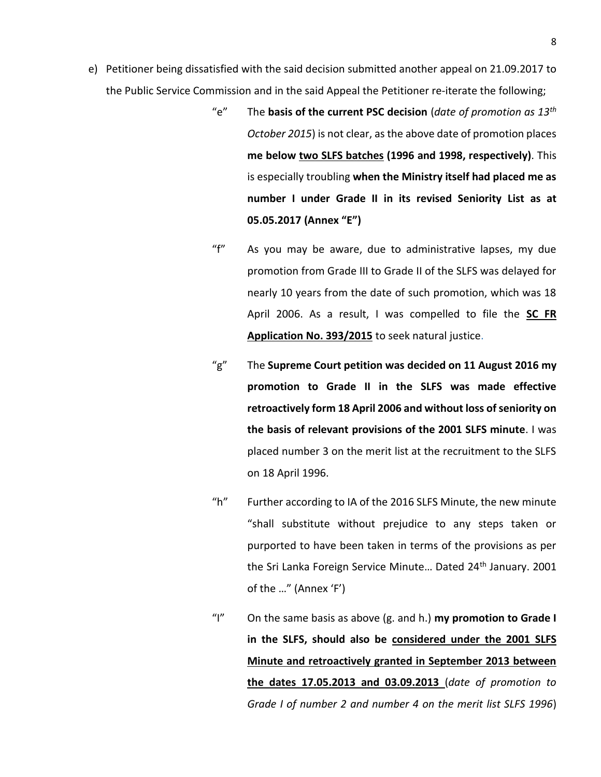- e) Petitioner being dissatisfied with the said decision submitted another appeal on 21.09.2017 to the Public Service Commission and in the said Appeal the Petitioner re-iterate the following;
	- "e" The **basis of the current PSC decision** (*date of promotion as 13th October 2015*) is not clear, as the above date of promotion places **me below two SLFS batches (1996 and 1998, respectively)**. This is especially troubling **when the Ministry itself had placed me as number I under Grade II in its revised Seniority List as at 05.05.2017 (Annex "E")**
	- "f" As you may be aware, due to administrative lapses, my due promotion from Grade III to Grade II of the SLFS was delayed for nearly 10 years from the date of such promotion, which was 18 April 2006. As a result, I was compelled to file the **SC FR Application No. 393/2015** to seek natural justice.
	- "g" The **Supreme Court petition was decided on 11 August 2016 my promotion to Grade II in the SLFS was made effective retroactively form 18 April 2006 and without loss of seniority on the basis of relevant provisions of the 2001 SLFS minute**. I was placed number 3 on the merit list at the recruitment to the SLFS on 18 April 1996.
	- "h" Further according to IA of the 2016 SLFS Minute, the new minute "shall substitute without prejudice to any steps taken or purported to have been taken in terms of the provisions as per the Sri Lanka Foreign Service Minute... Dated 24<sup>th</sup> January. 2001 of the …" (Annex 'F')
	- "I" On the same basis as above (g. and h.) **my promotion to Grade I in the SLFS, should also be considered under the 2001 SLFS Minute and retroactively granted in September 2013 between the dates 17.05.2013 and 03.09.2013** (*date of promotion to Grade I of number 2 and number 4 on the merit list SLFS 1996*)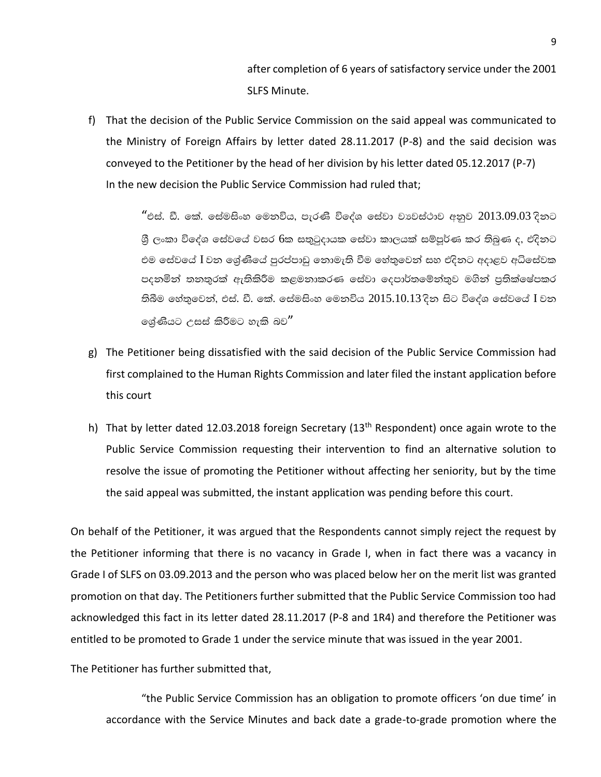after completion of 6 years of satisfactory service under the 2001 SLFS Minute.

f) That the decision of the Public Service Commission on the said appeal was communicated to the Ministry of Foreign Affairs by letter dated 28.11.2017 (P-8) and the said decision was conveyed to the Petitioner by the head of her division by his letter dated 05.12.2017 (P-7) In the new decision the Public Service Commission had ruled that;

> $\mathrm{``}$ එස්. ඩී. කේ. සේමසිංහ මෙනවිය, පැරණිි විදේශ සේවා වාවස්ථාව අනුව  $2013.09.03$  දිනට ශී ලංකා විලද්ශ ලස්වලය් වසර 6ක සතුටුදායක ලස්වා කාලයක් සම්පූර්ණ කර තිබුණ ද, එදිනට එම සේවයේ  $\bar{\rm I}$  වන ශේණියේ පුරප්පාඩු නොමැති වීම හේතුවෙන් සහ එදිනට අදාළව අධිසේවක පදනමින් තනතුරක් ඇතිකිරීම කළමනාකරණ සේවා දෙපාර්තමේන්තුව මගින් පුතික්ෂේපකර තිබීම හේතුවෙත්, එස්. ඩී. කේ. සේමසිංහ මෙනවිය  $2015.10.13$  දිත සිට විදේශ සේවයේ  $I$  වත ලශ්ණියට උසස් කිරීමට හැකි බව $^{\prime\prime}$

- g) The Petitioner being dissatisfied with the said decision of the Public Service Commission had first complained to the Human Rights Commission and later filed the instant application before this court
- h) That by letter dated 12.03.2018 foreign Secretary (13<sup>th</sup> Respondent) once again wrote to the Public Service Commission requesting their intervention to find an alternative solution to resolve the issue of promoting the Petitioner without affecting her seniority, but by the time the said appeal was submitted, the instant application was pending before this court.

On behalf of the Petitioner, it was argued that the Respondents cannot simply reject the request by the Petitioner informing that there is no vacancy in Grade I, when in fact there was a vacancy in Grade I of SLFS on 03.09.2013 and the person who was placed below her on the merit list was granted promotion on that day. The Petitioners further submitted that the Public Service Commission too had acknowledged this fact in its letter dated 28.11.2017 (P-8 and 1R4) and therefore the Petitioner was entitled to be promoted to Grade 1 under the service minute that was issued in the year 2001.

The Petitioner has further submitted that,

"the Public Service Commission has an obligation to promote officers 'on due time' in accordance with the Service Minutes and back date a grade-to-grade promotion where the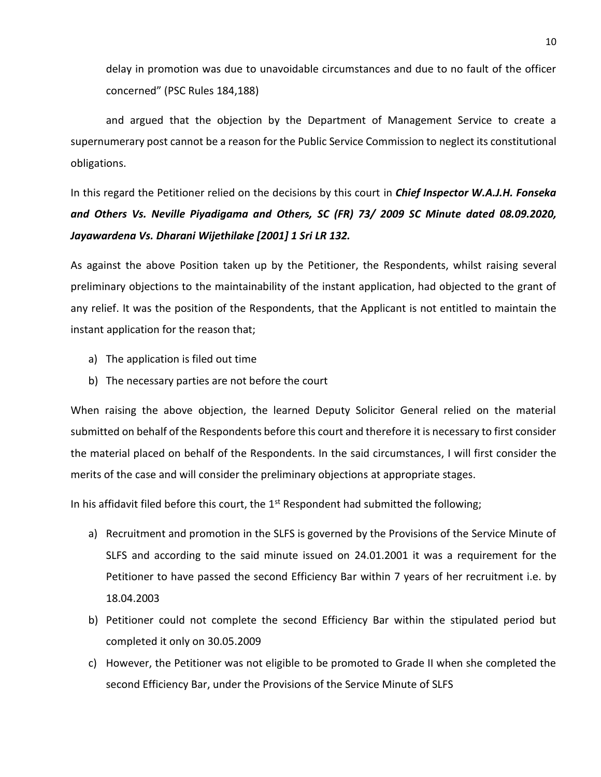delay in promotion was due to unavoidable circumstances and due to no fault of the officer concerned" (PSC Rules 184,188)

and argued that the objection by the Department of Management Service to create a supernumerary post cannot be a reason for the Public Service Commission to neglect its constitutional obligations.

In this regard the Petitioner relied on the decisions by this court in *Chief Inspector W.A.J.H. Fonseka and Others Vs. Neville Piyadigama and Others, SC (FR) 73/ 2009 SC Minute dated 08.09.2020, Jayawardena Vs. Dharani Wijethilake [2001] 1 Sri LR 132.*

As against the above Position taken up by the Petitioner, the Respondents, whilst raising several preliminary objections to the maintainability of the instant application, had objected to the grant of any relief. It was the position of the Respondents, that the Applicant is not entitled to maintain the instant application for the reason that;

- a) The application is filed out time
- b) The necessary parties are not before the court

When raising the above objection, the learned Deputy Solicitor General relied on the material submitted on behalf of the Respondents before this court and therefore it is necessary to first consider the material placed on behalf of the Respondents. In the said circumstances, I will first consider the merits of the case and will consider the preliminary objections at appropriate stages.

In his affidavit filed before this court, the  $1<sup>st</sup>$  Respondent had submitted the following;

- a) Recruitment and promotion in the SLFS is governed by the Provisions of the Service Minute of SLFS and according to the said minute issued on 24.01.2001 it was a requirement for the Petitioner to have passed the second Efficiency Bar within 7 years of her recruitment i.e. by 18.04.2003
- b) Petitioner could not complete the second Efficiency Bar within the stipulated period but completed it only on 30.05.2009
- c) However, the Petitioner was not eligible to be promoted to Grade II when she completed the second Efficiency Bar, under the Provisions of the Service Minute of SLFS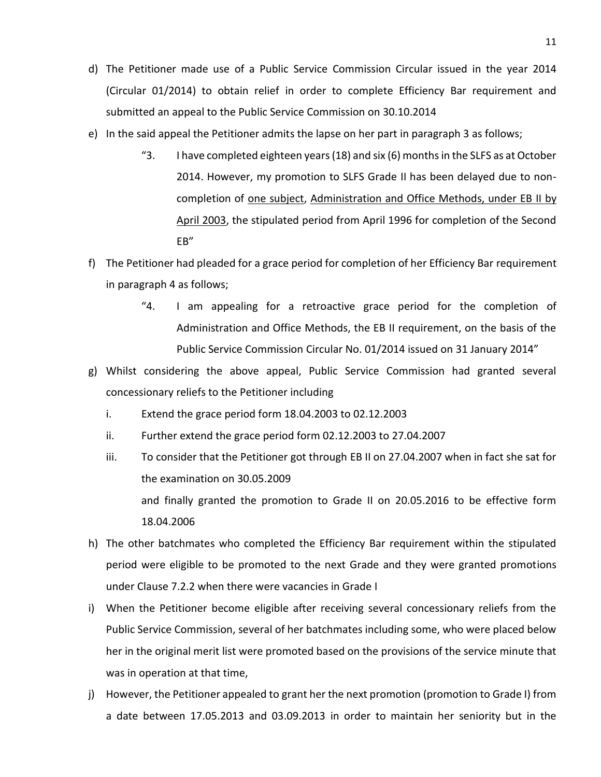- d) The Petitioner made use of a Public Service Commission Circular issued in the year 2014 (Circular 01/2014) to obtain relief in order to complete Efficiency Bar requirement and submitted an appeal to the Public Service Commission on 30.10.2014
- e) In the said appeal the Petitioner admits the lapse on her part in paragraph 3 as follows;
	- "3. I have completed eighteen years (18) and six (6) months in the SLFS as at October 2014. However, my promotion to SLFS Grade II has been delayed due to noncompletion of one subject, Administration and Office Methods, under EB II by April 2003, the stipulated period from April 1996 for completion of the Second EB"
- f) The Petitioner had pleaded for a grace period for completion of her Efficiency Bar requirement in paragraph 4 as follows;
	- "4. I am appealing for a retroactive grace period for the completion of Administration and Office Methods, the EB II requirement, on the basis of the Public Service Commission Circular No. 01/2014 issued on 31 January 2014"
- g) Whilst considering the above appeal, Public Service Commission had granted several concessionary reliefs to the Petitioner including
	- i. Extend the grace period form 18.04.2003 to 02.12.2003
	- ii. Further extend the grace period form 02.12.2003 to 27.04.2007
	- iii. To consider that the Petitioner got through EB II on 27.04.2007 when in fact she sat for the examination on 30.05.2009 and finally granted the promotion to Grade II on 20.05.2016 to be effective form 18.04.2006
- h) The other batchmates who completed the Efficiency Bar requirement within the stipulated period were eligible to be promoted to the next Grade and they were granted promotions under Clause 7.2.2 when there were vacancies in Grade I
- i) When the Petitioner become eligible after receiving several concessionary reliefs from the Public Service Commission, several of her batchmates including some, who were placed below her in the original merit list were promoted based on the provisions of the service minute that was in operation at that time,
- j) However, the Petitioner appealed to grant her the next promotion (promotion to Grade I) from a date between 17.05.2013 and 03.09.2013 in order to maintain her seniority but in the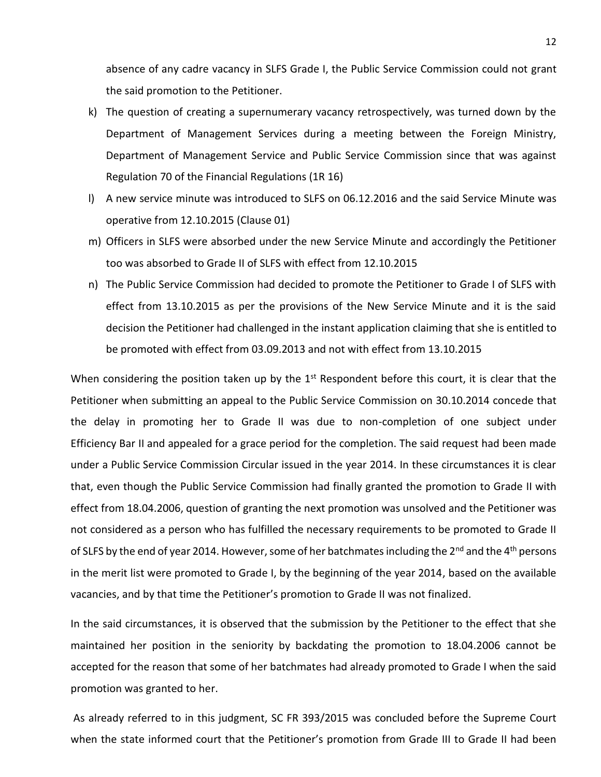absence of any cadre vacancy in SLFS Grade I, the Public Service Commission could not grant the said promotion to the Petitioner.

- k) The question of creating a supernumerary vacancy retrospectively, was turned down by the Department of Management Services during a meeting between the Foreign Ministry, Department of Management Service and Public Service Commission since that was against Regulation 70 of the Financial Regulations (1R 16)
- l) A new service minute was introduced to SLFS on 06.12.2016 and the said Service Minute was operative from 12.10.2015 (Clause 01)
- m) Officers in SLFS were absorbed under the new Service Minute and accordingly the Petitioner too was absorbed to Grade II of SLFS with effect from 12.10.2015
- n) The Public Service Commission had decided to promote the Petitioner to Grade I of SLFS with effect from 13.10.2015 as per the provisions of the New Service Minute and it is the said decision the Petitioner had challenged in the instant application claiming that she is entitled to be promoted with effect from 03.09.2013 and not with effect from 13.10.2015

When considering the position taken up by the  $1<sup>st</sup>$  Respondent before this court, it is clear that the Petitioner when submitting an appeal to the Public Service Commission on 30.10.2014 concede that the delay in promoting her to Grade II was due to non-completion of one subject under Efficiency Bar II and appealed for a grace period for the completion. The said request had been made under a Public Service Commission Circular issued in the year 2014. In these circumstances it is clear that, even though the Public Service Commission had finally granted the promotion to Grade II with effect from 18.04.2006, question of granting the next promotion was unsolved and the Petitioner was not considered as a person who has fulfilled the necessary requirements to be promoted to Grade II of SLFS by the end of year 2014. However, some of her batchmates including the 2<sup>nd</sup> and the 4<sup>th</sup> persons in the merit list were promoted to Grade I, by the beginning of the year 2014, based on the available vacancies, and by that time the Petitioner's promotion to Grade II was not finalized.

In the said circumstances, it is observed that the submission by the Petitioner to the effect that she maintained her position in the seniority by backdating the promotion to 18.04.2006 cannot be accepted for the reason that some of her batchmates had already promoted to Grade I when the said promotion was granted to her.

As already referred to in this judgment, SC FR 393/2015 was concluded before the Supreme Court when the state informed court that the Petitioner's promotion from Grade III to Grade II had been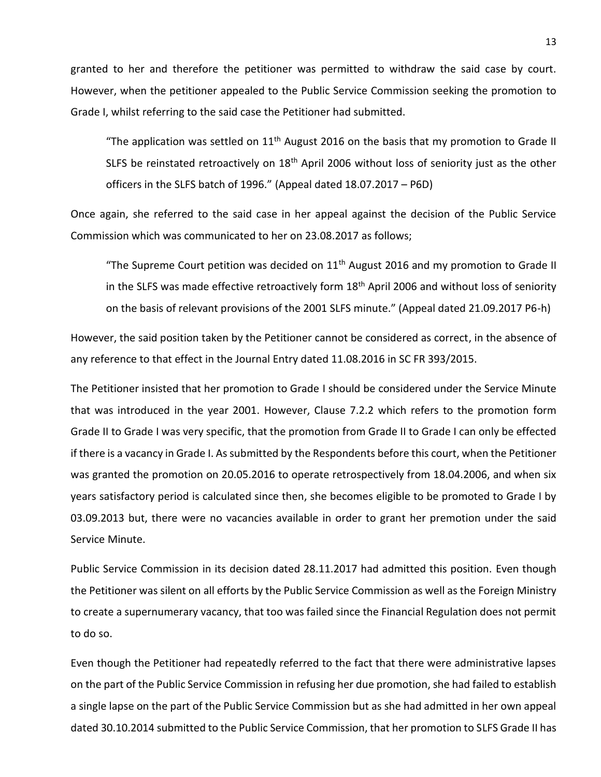granted to her and therefore the petitioner was permitted to withdraw the said case by court. However, when the petitioner appealed to the Public Service Commission seeking the promotion to Grade I, whilst referring to the said case the Petitioner had submitted.

"The application was settled on  $11<sup>th</sup>$  August 2016 on the basis that my promotion to Grade II SLFS be reinstated retroactively on  $18<sup>th</sup>$  April 2006 without loss of seniority just as the other officers in the SLFS batch of 1996." (Appeal dated 18.07.2017 – P6D)

Once again, she referred to the said case in her appeal against the decision of the Public Service Commission which was communicated to her on 23.08.2017 as follows;

"The Supreme Court petition was decided on  $11<sup>th</sup>$  August 2016 and my promotion to Grade II in the SLFS was made effective retroactively form 18<sup>th</sup> April 2006 and without loss of seniority on the basis of relevant provisions of the 2001 SLFS minute." (Appeal dated 21.09.2017 P6-h)

However, the said position taken by the Petitioner cannot be considered as correct, in the absence of any reference to that effect in the Journal Entry dated 11.08.2016 in SC FR 393/2015.

The Petitioner insisted that her promotion to Grade I should be considered under the Service Minute that was introduced in the year 2001. However, Clause 7.2.2 which refers to the promotion form Grade II to Grade I was very specific, that the promotion from Grade II to Grade I can only be effected if there is a vacancy in Grade I. As submitted by the Respondents before this court, when the Petitioner was granted the promotion on 20.05.2016 to operate retrospectively from 18.04.2006, and when six years satisfactory period is calculated since then, she becomes eligible to be promoted to Grade I by 03.09.2013 but, there were no vacancies available in order to grant her premotion under the said Service Minute.

Public Service Commission in its decision dated 28.11.2017 had admitted this position. Even though the Petitioner was silent on all efforts by the Public Service Commission as well as the Foreign Ministry to create a supernumerary vacancy, that too was failed since the Financial Regulation does not permit to do so.

Even though the Petitioner had repeatedly referred to the fact that there were administrative lapses on the part of the Public Service Commission in refusing her due promotion, she had failed to establish a single lapse on the part of the Public Service Commission but as she had admitted in her own appeal dated 30.10.2014 submitted to the Public Service Commission, that her promotion to SLFS Grade II has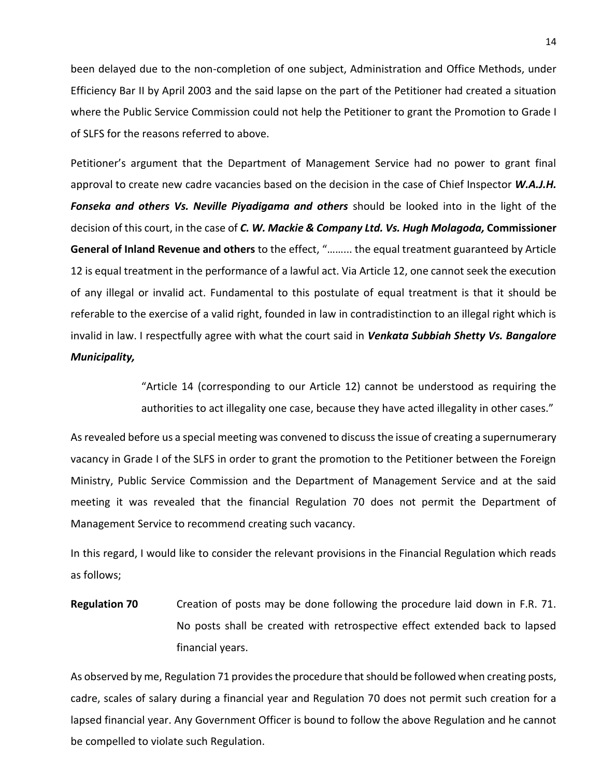been delayed due to the non-completion of one subject, Administration and Office Methods, under Efficiency Bar II by April 2003 and the said lapse on the part of the Petitioner had created a situation where the Public Service Commission could not help the Petitioner to grant the Promotion to Grade I of SLFS for the reasons referred to above.

Petitioner's argument that the Department of Management Service had no power to grant final approval to create new cadre vacancies based on the decision in the case of Chief Inspector *W.A.J.H. Fonseka and others Vs. Neville Piyadigama and others* should be looked into in the light of the decision of this court, in the case of *C. W. Mackie & Company Ltd. Vs. Hugh Molagoda,* **Commissioner General of Inland Revenue and others** to the effect, "……... the equal treatment guaranteed by Article 12 is equal treatment in the performance of a lawful act. Via Article 12, one cannot seek the execution of any illegal or invalid act. Fundamental to this postulate of equal treatment is that it should be referable to the exercise of a valid right, founded in law in contradistinction to an illegal right which is invalid in law. I respectfully agree with what the court said in *Venkata Subbiah Shetty Vs. Bangalore Municipality,* 

> "Article 14 (corresponding to our Article 12) cannot be understood as requiring the authorities to act illegality one case, because they have acted illegality in other cases."

As revealed before us a special meeting was convened to discuss the issue of creating a supernumerary vacancy in Grade I of the SLFS in order to grant the promotion to the Petitioner between the Foreign Ministry, Public Service Commission and the Department of Management Service and at the said meeting it was revealed that the financial Regulation 70 does not permit the Department of Management Service to recommend creating such vacancy.

In this regard, I would like to consider the relevant provisions in the Financial Regulation which reads as follows;

**Regulation 70** Creation of posts may be done following the procedure laid down in F.R. 71. No posts shall be created with retrospective effect extended back to lapsed financial years.

As observed by me, Regulation 71 provides the procedure that should be followed when creating posts, cadre, scales of salary during a financial year and Regulation 70 does not permit such creation for a lapsed financial year. Any Government Officer is bound to follow the above Regulation and he cannot be compelled to violate such Regulation.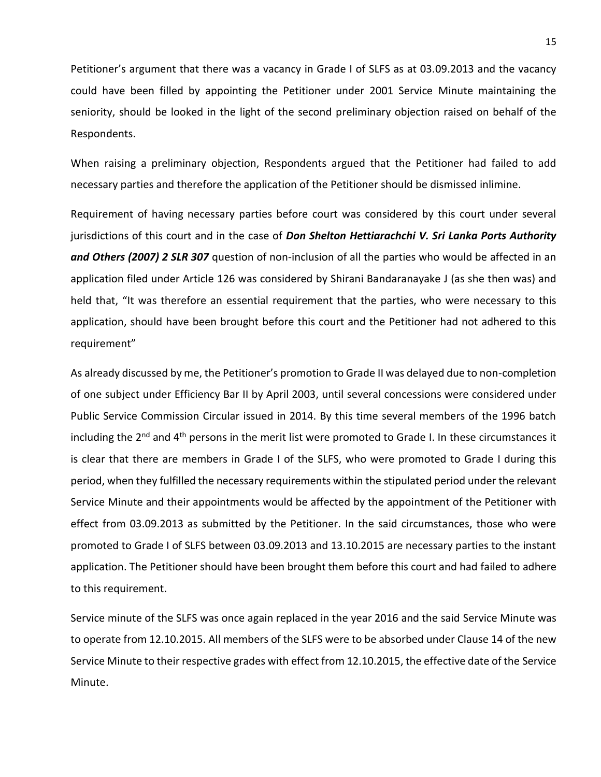Petitioner's argument that there was a vacancy in Grade I of SLFS as at 03.09.2013 and the vacancy could have been filled by appointing the Petitioner under 2001 Service Minute maintaining the seniority, should be looked in the light of the second preliminary objection raised on behalf of the Respondents.

When raising a preliminary objection, Respondents argued that the Petitioner had failed to add necessary parties and therefore the application of the Petitioner should be dismissed inlimine.

Requirement of having necessary parties before court was considered by this court under several jurisdictions of this court and in the case of *Don Shelton Hettiarachchi V. Sri Lanka Ports Authority and Others (2007) 2 SLR 307* question of non-inclusion of all the parties who would be affected in an application filed under Article 126 was considered by Shirani Bandaranayake J (as she then was) and held that, "It was therefore an essential requirement that the parties, who were necessary to this application, should have been brought before this court and the Petitioner had not adhered to this requirement"

As already discussed by me, the Petitioner's promotion to Grade II was delayed due to non-completion of one subject under Efficiency Bar II by April 2003, until several concessions were considered under Public Service Commission Circular issued in 2014. By this time several members of the 1996 batch including the 2<sup>nd</sup> and 4<sup>th</sup> persons in the merit list were promoted to Grade I. In these circumstances it is clear that there are members in Grade I of the SLFS, who were promoted to Grade I during this period, when they fulfilled the necessary requirements within the stipulated period under the relevant Service Minute and their appointments would be affected by the appointment of the Petitioner with effect from 03.09.2013 as submitted by the Petitioner. In the said circumstances, those who were promoted to Grade I of SLFS between 03.09.2013 and 13.10.2015 are necessary parties to the instant application. The Petitioner should have been brought them before this court and had failed to adhere to this requirement.

Service minute of the SLFS was once again replaced in the year 2016 and the said Service Minute was to operate from 12.10.2015. All members of the SLFS were to be absorbed under Clause 14 of the new Service Minute to their respective grades with effect from 12.10.2015, the effective date of the Service Minute.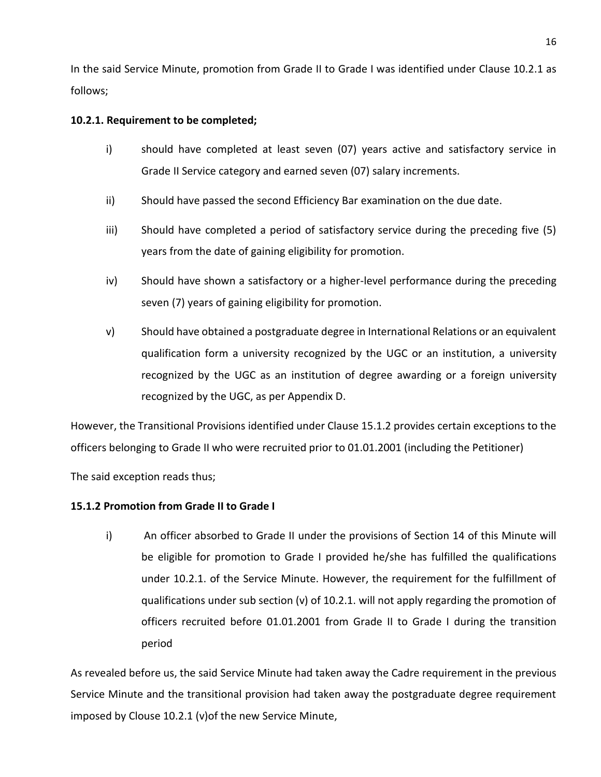In the said Service Minute, promotion from Grade II to Grade I was identified under Clause 10.2.1 as follows;

## **10.2.1. Requirement to be completed;**

- i) should have completed at least seven (07) years active and satisfactory service in Grade II Service category and earned seven (07) salary increments.
- ii) Should have passed the second Efficiency Bar examination on the due date.
- iii) Should have completed a period of satisfactory service during the preceding five (5) years from the date of gaining eligibility for promotion.
- iv) Should have shown a satisfactory or a higher-level performance during the preceding seven (7) years of gaining eligibility for promotion.
- v) Should have obtained a postgraduate degree in International Relations or an equivalent qualification form a university recognized by the UGC or an institution, a university recognized by the UGC as an institution of degree awarding or a foreign university recognized by the UGC, as per Appendix D.

However, the Transitional Provisions identified under Clause 15.1.2 provides certain exceptions to the officers belonging to Grade II who were recruited prior to 01.01.2001 (including the Petitioner)

The said exception reads thus;

## **15.1.2 Promotion from Grade II to Grade I**

i) An officer absorbed to Grade II under the provisions of Section 14 of this Minute will be eligible for promotion to Grade I provided he/she has fulfilled the qualifications under 10.2.1. of the Service Minute. However, the requirement for the fulfillment of qualifications under sub section (v) of 10.2.1. will not apply regarding the promotion of officers recruited before 01.01.2001 from Grade II to Grade I during the transition period

As revealed before us, the said Service Minute had taken away the Cadre requirement in the previous Service Minute and the transitional provision had taken away the postgraduate degree requirement imposed by Clouse 10.2.1 (v)of the new Service Minute,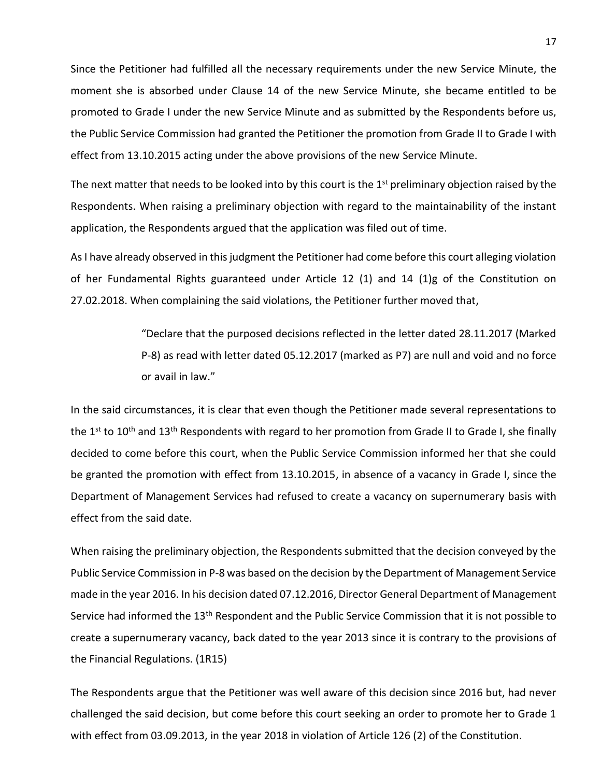Since the Petitioner had fulfilled all the necessary requirements under the new Service Minute, the moment she is absorbed under Clause 14 of the new Service Minute, she became entitled to be promoted to Grade I under the new Service Minute and as submitted by the Respondents before us, the Public Service Commission had granted the Petitioner the promotion from Grade II to Grade I with effect from 13.10.2015 acting under the above provisions of the new Service Minute.

The next matter that needs to be looked into by this court is the  $1<sup>st</sup>$  preliminary objection raised by the Respondents. When raising a preliminary objection with regard to the maintainability of the instant application, the Respondents argued that the application was filed out of time.

As I have already observed in this judgment the Petitioner had come before this court alleging violation of her Fundamental Rights guaranteed under Article 12 (1) and 14 (1)g of the Constitution on 27.02.2018. When complaining the said violations, the Petitioner further moved that,

> "Declare that the purposed decisions reflected in the letter dated 28.11.2017 (Marked P-8) as read with letter dated 05.12.2017 (marked as P7) are null and void and no force or avail in law."

In the said circumstances, it is clear that even though the Petitioner made several representations to the 1<sup>st</sup> to 10<sup>th</sup> and 13<sup>th</sup> Respondents with regard to her promotion from Grade II to Grade I, she finally decided to come before this court, when the Public Service Commission informed her that she could be granted the promotion with effect from 13.10.2015, in absence of a vacancy in Grade I, since the Department of Management Services had refused to create a vacancy on supernumerary basis with effect from the said date.

When raising the preliminary objection, the Respondents submitted that the decision conveyed by the Public Service Commission in P-8 was based on the decision by the Department of Management Service made in the year 2016. In his decision dated 07.12.2016, Director General Department of Management Service had informed the 13<sup>th</sup> Respondent and the Public Service Commission that it is not possible to create a supernumerary vacancy, back dated to the year 2013 since it is contrary to the provisions of the Financial Regulations. (1R15)

The Respondents argue that the Petitioner was well aware of this decision since 2016 but, had never challenged the said decision, but come before this court seeking an order to promote her to Grade 1 with effect from 03.09.2013, in the year 2018 in violation of Article 126 (2) of the Constitution.